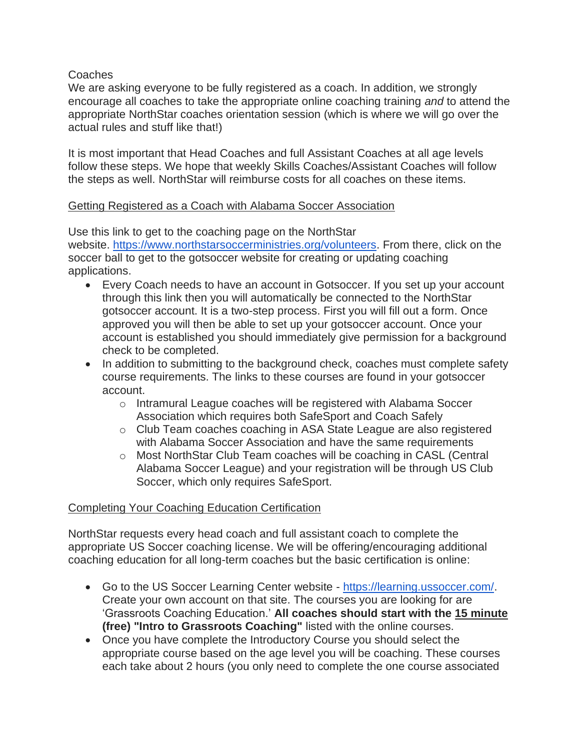Coaches

We are asking everyone to be fully registered as a coach. In addition, we strongly encourage all coaches to take the appropriate online coaching training *and* to attend the appropriate NorthStar coaches orientation session (which is where we will go over the actual rules and stuff like that!)

It is most important that Head Coaches and full Assistant Coaches at all age levels follow these steps. We hope that weekly Skills Coaches/Assistant Coaches will follow the steps as well. NorthStar will reimburse costs for all coaches on these items.

## Getting Registered as a Coach with Alabama Soccer Association

Use this link to get to the coaching page on the NorthStar website. [https://www.northstarsoccerministries.org/volunteers.](https://www.northstarsoccerministries.org/volunteers) From there, click on the soccer ball to get to the gotsoccer website for creating or updating coaching applications.

- Every Coach needs to have an account in Gotsoccer. If you set up your account through this link then you will automatically be connected to the NorthStar gotsoccer account. It is a two-step process. First you will fill out a form. Once approved you will then be able to set up your gotsoccer account. Once your account is established you should immediately give permission for a background check to be completed.
- In addition to submitting to the background check, coaches must complete safety course requirements. The links to these courses are found in your gotsoccer account.
	- o Intramural League coaches will be registered with Alabama Soccer Association which requires both SafeSport and Coach Safely
	- o Club Team coaches coaching in ASA State League are also registered with Alabama Soccer Association and have the same requirements
	- o Most NorthStar Club Team coaches will be coaching in CASL (Central Alabama Soccer League) and your registration will be through US Club Soccer, which only requires SafeSport.

## Completing Your Coaching Education Certification

NorthStar requests every head coach and full assistant coach to complete the appropriate US Soccer coaching license. We will be offering/encouraging additional coaching education for all long-term coaches but the basic certification is online:

- Go to the US Soccer Learning Center website [https://learning.ussoccer.com/.](https://learning.ussoccer.com/) Create your own account on that site. The courses you are looking for are 'Grassroots Coaching Education.' **All coaches should start with the 15 minute (free) "Intro to Grassroots Coaching"** listed with the online courses.
- Once you have complete the Introductory Course you should select the appropriate course based on the age level you will be coaching. These courses each take about 2 hours (you only need to complete the one course associated